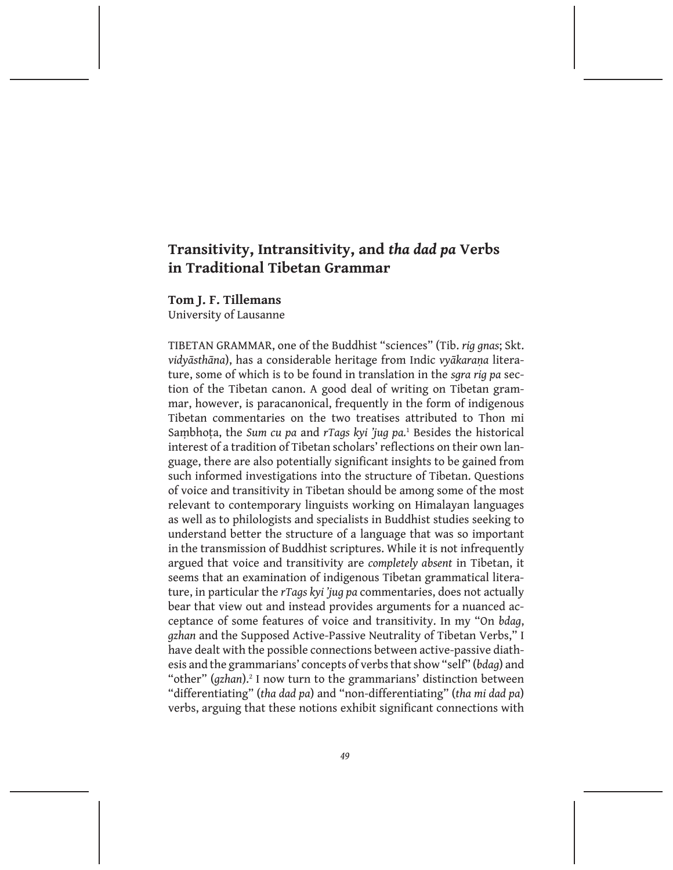# **Transitivity, Intransitivity, and** *tha dad pa* **Verbs in Traditional Tibetan Grammar**

### **Tom J. F. Tillemans**

University of Lausanne

TIBETAN GRAMMAR, one of the Buddhist "sciences" (Tib. *rig gnas*; Skt. *vidyāsthāna*), has a considerable heritage from Indic *vyākaraṇa* literature, some of which is to be found in translation in the *sgra rig pa* section of the Tibetan canon. A good deal of writing on Tibetan grammar, however, is paracanonical, frequently in the form of indigenous Tibetan commentaries on the two treatises attributed to Thon mi Saṃbhoṭa, the *Sum cu pa* and *rTags kyi 'jug pa.*<sup>1</sup> Besides the historical interest of a tradition of Tibetan scholars' reflections on their own language, there are also potentially significant insights to be gained from such informed investigations into the structure of Tibetan. Questions of voice and transitivity in Tibetan should be among some of the most relevant to contemporary linguists working on Himalayan languages as well as to philologists and specialists in Buddhist studies seeking to understand better the structure of a language that was so important in the transmission of Buddhist scriptures. While it is not infrequently argued that voice and transitivity are *completely absent* in Tibetan, it seems that an examination of indigenous Tibetan grammatical literature, in particular the *rTags kyi 'jug pa* commentaries, does not actually bear that view out and instead provides arguments for a nuanced acceptance of some features of voice and transitivity. In my "On *bdag*, *gzhan* and the Supposed Active-Passive Neutrality of Tibetan Verbs," I have dealt with the possible connections between active-passive diathesis and the grammarians' concepts of verbs that show "self" (*bdag*) and "other" (*gzhan*).<sup>2</sup> I now turn to the grammarians' distinction between "differentiating" (*tha dad pa*) and "non-differentiating" (*tha mi dad pa*) verbs, arguing that these notions exhibit significant connections with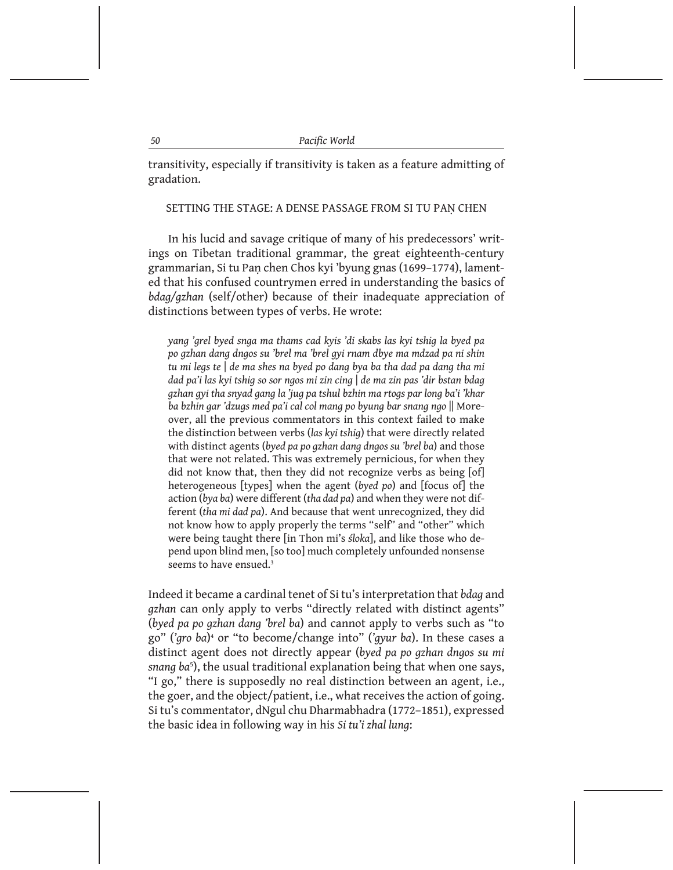transitivity, especially if transitivity is taken as a feature admitting of gradation.

### SETTING THE STAGE: A DENSE PASSAGE FROM SI TU PAN CHEN

In his lucid and savage critique of many of his predecessors' writings on Tibetan traditional grammar, the great eighteenth-century grammarian, Si tu Paṇ chen Chos kyi 'byung gnas (1699–1774), lamented that his confused countrymen erred in understanding the basics of *bdag/gzhan* (self/other) because of their inadequate appreciation of distinctions between types of verbs. He wrote:

*yang 'grel byed snga ma thams cad kyis 'di skabs las kyi tshig la byed pa po gzhan dang dngos su 'brel ma 'brel gyi rnam dbye ma mdzad pa ni shin tu mi legs te* | *de ma shes na byed po dang bya ba tha dad pa dang tha mi dad pa'i las kyi tshig so sor ngos mi zin cing* | *de ma zin pas 'dir bstan bdag gzhan gyi tha snyad gang la 'jug pa tshul bzhin ma rtogs par long ba'i 'khar ba bzhin gar 'dzugs med pa'i cal col mang po byung bar snang ngo* || Moreover, all the previous commentators in this context failed to make the distinction between verbs (*las kyi tshig*) that were directly related with distinct agents (*byed pa po gzhan dang dngos su 'brel ba*) and those that were not related. This was extremely pernicious, for when they did not know that, then they did not recognize verbs as being [of] heterogeneous [types] when the agent (*byed po*) and [focus of] the action (*bya ba*) were different (*tha dad pa*) and when they were not different (*tha mi dad pa*). And because that went unrecognized, they did not know how to apply properly the terms "self" and "other" which were being taught there [in Thon mi's *śloka*], and like those who depend upon blind men, [so too] much completely unfounded nonsense seems to have ensued.<sup>3</sup>

Indeed it became a cardinal tenet of Si tu's interpretation that *bdag* and *gzhan* can only apply to verbs "directly related with distinct agents" (*byed pa po gzhan dang 'brel ba*) and cannot apply to verbs such as "to go" (*'gro ba*)<sup>4</sup> or "to become/change into" (*'gyur ba*). In these cases a distinct agent does not directly appear (*byed pa po gzhan dngos su mi snang ba*<sup>5</sup> ), the usual traditional explanation being that when one says, "I go," there is supposedly no real distinction between an agent, i.e., the goer, and the object/patient, i.e., what receives the action of going. Si tu's commentator, dNgul chu Dharmabhadra (1772–1851), expressed the basic idea in following way in his *Si tu'i zhal lung*: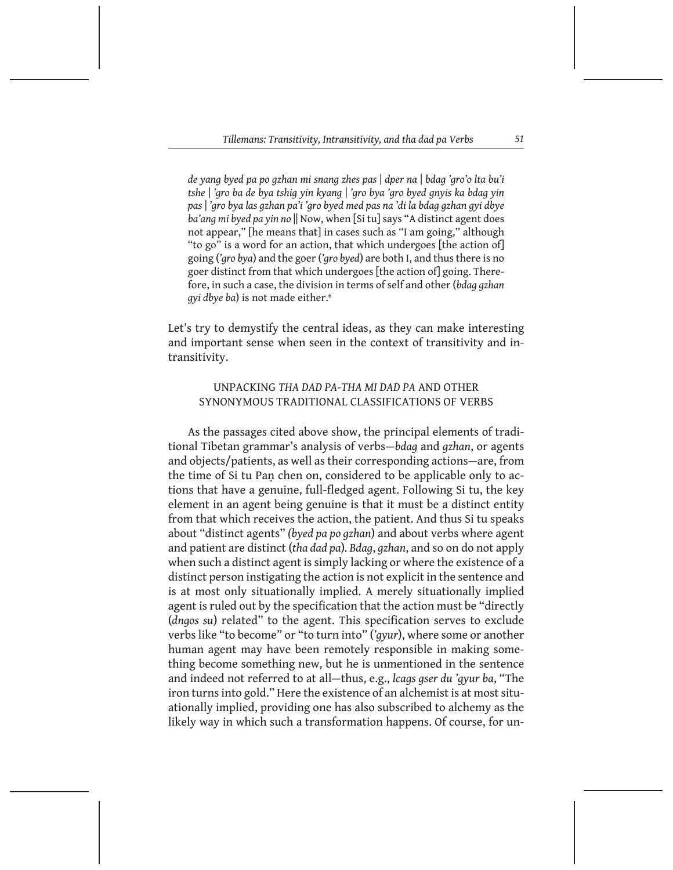*de yang byed pa po gzhan mi snang zhes pas* | *dper na* | *bdag 'gro'o lta bu'i tshe* | *'gro ba de bya tshig yin kyang* | *'gro bya 'gro byed gnyis ka bdag yin pas* | *'gro bya las gzhan pa'i 'gro byed med pas na 'di la bdag gzhan gyi dbye ba'ang mi byed pa yin no* || Now, when [Si tu] says "A distinct agent does not appear," [he means that] in cases such as "I am going," although "to go" is a word for an action, that which undergoes [the action of] going (*'gro bya*) and the goer (*'gro byed*) are both I, and thus there is no goer distinct from that which undergoes [the action of] going. Therefore, in such a case, the division in terms of self and other (*bdag gzhan gyi dbye ba*) is not made either.<sup>6</sup>

Let's try to demystify the central ideas, as they can make interesting and important sense when seen in the context of transitivity and intransitivity.

## UNPACKING *THA DAD PA-THA MI DAD PA* AND OTHER SYNONYMOUS TRADITIONAL CLASSIFICATIONS OF VERBS

As the passages cited above show, the principal elements of traditional Tibetan grammar's analysis of verbs—*bdag* and *gzhan*, or agents and objects/patients, as well as their corresponding actions—are, from the time of Si tu Paṇ chen on, considered to be applicable only to actions that have a genuine, full-fledged agent. Following Si tu, the key element in an agent being genuine is that it must be a distinct entity from that which receives the action, the patient. And thus Si tu speaks about "distinct agents" *(byed pa po gzhan*) and about verbs where agent and patient are distinct (*tha dad pa*)*. Bdag*, *gzhan*, and so on do not apply when such a distinct agent is simply lacking or where the existence of a distinct person instigating the action is not explicit in the sentence and is at most only situationally implied. A merely situationally implied agent is ruled out by the specification that the action must be "directly (*dngos su*) related" to the agent. This specification serves to exclude verbs like "to become" or "to turn into" (*'gyur*), where some or another human agent may have been remotely responsible in making something become something new, but he is unmentioned in the sentence and indeed not referred to at all—thus, e.g., *lcags gser du 'gyur ba*, "The iron turns into gold." Here the existence of an alchemist is at most situationally implied, providing one has also subscribed to alchemy as the likely way in which such a transformation happens. Of course, for un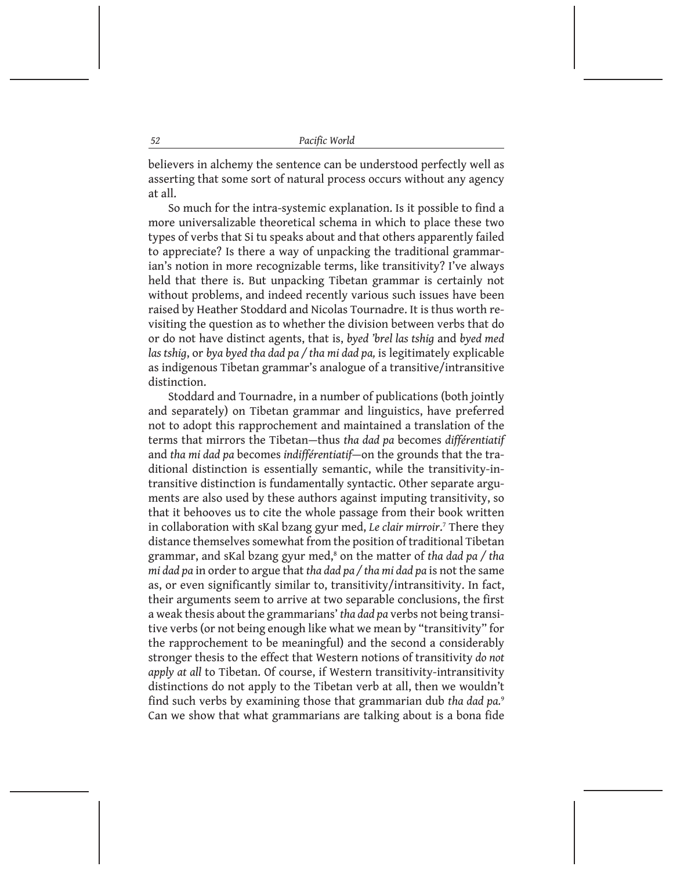believers in alchemy the sentence can be understood perfectly well as asserting that some sort of natural process occurs without any agency at all.

So much for the intra-systemic explanation. Is it possible to find a more universalizable theoretical schema in which to place these two types of verbs that Si tu speaks about and that others apparently failed to appreciate? Is there a way of unpacking the traditional grammarian's notion in more recognizable terms, like transitivity? I've always held that there is. But unpacking Tibetan grammar is certainly not without problems, and indeed recently various such issues have been raised by Heather Stoddard and Nicolas Tournadre. It is thus worth revisiting the question as to whether the division between verbs that do or do not have distinct agents, that is, *byed 'brel las tshig* and *byed med las tshig*, or *bya byed tha dad pa / tha mi dad pa,* is legitimately explicable as indigenous Tibetan grammar's analogue of a transitive/intransitive distinction.

Stoddard and Tournadre, in a number of publications (both jointly and separately) on Tibetan grammar and linguistics, have preferred not to adopt this rapprochement and maintained a translation of the terms that mirrors the Tibetan—thus *tha dad pa* becomes *différentiatif* and *tha mi dad pa* becomes *indifférentiatif*—on the grounds that the traditional distinction is essentially semantic, while the transitivity-intransitive distinction is fundamentally syntactic. Other separate arguments are also used by these authors against imputing transitivity, so that it behooves us to cite the whole passage from their book written in collaboration with sKal bzang gyur med, *Le clair mirroir*. 7 There they distance themselves somewhat from the position of traditional Tibetan grammar, and sKal bzang gyur med,<sup>8</sup> on the matter of *tha dad pa* / tha *mi dad pa* in order to argue that *tha dad pa / tha mi dad pa* is not the same as, or even significantly similar to, transitivity/intransitivity. In fact, their arguments seem to arrive at two separable conclusions, the first a weak thesis about the grammarians' *tha dad pa* verbs not being transitive verbs (or not being enough like what we mean by "transitivity" for the rapprochement to be meaningful) and the second a considerably stronger thesis to the effect that Western notions of transitivity *do not apply at all* to Tibetan. Of course, if Western transitivity-intransitivity distinctions do not apply to the Tibetan verb at all, then we wouldn't find such verbs by examining those that grammarian dub *tha dad pa.*<sup>9</sup> Can we show that what grammarians are talking about is a bona fide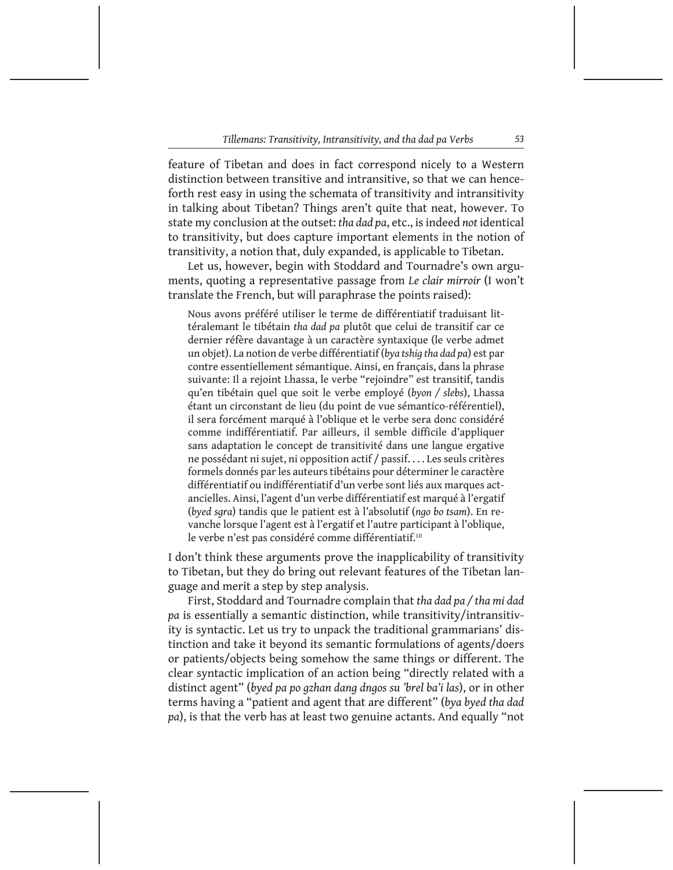feature of Tibetan and does in fact correspond nicely to a Western distinction between transitive and intransitive, so that we can henceforth rest easy in using the schemata of transitivity and intransitivity in talking about Tibetan? Things aren't quite that neat, however. To state my conclusion at the outset: *tha dad pa*, etc., is indeed *not* identical to transitivity, but does capture important elements in the notion of transitivity, a notion that, duly expanded, is applicable to Tibetan.

Let us, however, begin with Stoddard and Tournadre's own arguments, quoting a representative passage from *Le clair mirroir* (I won't translate the French, but will paraphrase the points raised):

Nous avons préféré utiliser le terme de différentiatif traduisant littéralemant le tibétain *tha dad pa* plutôt que celui de transitif car ce dernier réfère davantage à un caractère syntaxique (le verbe admet un objet). La notion de verbe différentiatif (*bya tshig tha dad pa*) est par contre essentiellement sémantique. Ainsi, en français, dans la phrase suivante: Il a rejoint Lhassa, le verbe "rejoindre" est transitif, tandis qu'en tibétain quel que soit le verbe employé (*byon / slebs*), Lhassa étant un circonstant de lieu (du point de vue sémantico-référentiel), il sera forcément marqué à l'oblique et le verbe sera donc considéré comme indifférentiatif. Par ailleurs, il semble difficile d'appliquer sans adaptation le concept de transitivité dans une langue ergative ne possédant ni sujet, ni opposition actif / passif. . . . Les seuls critères formels donnés par les auteurs tibétains pour déterminer le caractère différentiatif ou indifférentiatif d'un verbe sont liés aux marques actancielles. Ainsi, l'agent d'un verbe différentiatif est marqué à l'ergatif (*byed sgra*) tandis que le patient est à l'absolutif (*ngo bo tsam*). En revanche lorsque l'agent est à l'ergatif et l'autre participant à l'oblique, le verbe n'est pas considéré comme différentiatif.10

I don't think these arguments prove the inapplicability of transitivity to Tibetan, but they do bring out relevant features of the Tibetan language and merit a step by step analysis.

First, Stoddard and Tournadre complain that *tha dad pa / tha mi dad pa* is essentially a semantic distinction, while transitivity/intransitivity is syntactic. Let us try to unpack the traditional grammarians' distinction and take it beyond its semantic formulations of agents/doers or patients/objects being somehow the same things or different. The clear syntactic implication of an action being "directly related with a distinct agent" (*byed pa po gzhan dang dngos su 'brel ba'i las*), or in other terms having a "patient and agent that are different" (*bya byed tha dad pa*), is that the verb has at least two genuine actants. And equally "not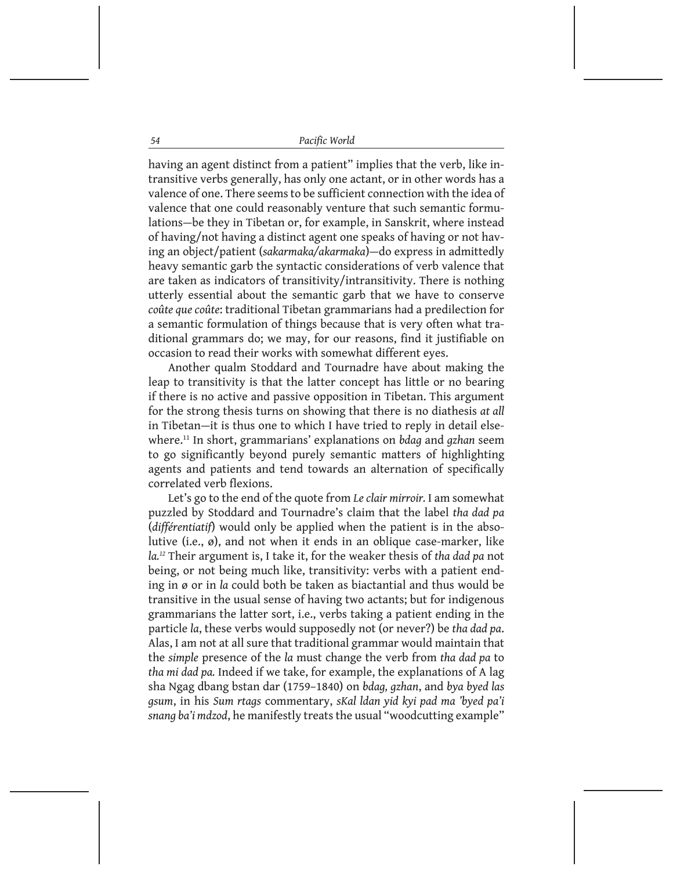*54 Pacific World*

having an agent distinct from a patient" implies that the verb, like intransitive verbs generally, has only one actant, or in other words has a valence of one. There seems to be sufficient connection with the idea of valence that one could reasonably venture that such semantic formulations—be they in Tibetan or, for example, in Sanskrit, where instead of having/not having a distinct agent one speaks of having or not having an object/patient (*sakarmaka/akarmaka*)—do express in admittedly heavy semantic garb the syntactic considerations of verb valence that are taken as indicators of transitivity/intransitivity. There is nothing utterly essential about the semantic garb that we have to conserve *coûte que coûte*: traditional Tibetan grammarians had a predilection for a semantic formulation of things because that is very often what traditional grammars do; we may, for our reasons, find it justifiable on occasion to read their works with somewhat different eyes.

Another qualm Stoddard and Tournadre have about making the leap to transitivity is that the latter concept has little or no bearing if there is no active and passive opposition in Tibetan. This argument for the strong thesis turns on showing that there is no diathesis *at all* in Tibetan—it is thus one to which I have tried to reply in detail elsewhere.11 In short, grammarians' explanations on *bdag* and *gzhan* seem to go significantly beyond purely semantic matters of highlighting agents and patients and tend towards an alternation of specifically correlated verb flexions.

Let's go to the end of the quote from *Le clair mirroir.* I am somewhat puzzled by Stoddard and Tournadre's claim that the label *tha dad pa* (*différentiatif*) would only be applied when the patient is in the absolutive (i.e., ø), and not when it ends in an oblique case-marker, like *la.<sup>12</sup>* Their argument is, I take it, for the weaker thesis of *tha dad pa* not being, or not being much like, transitivity: verbs with a patient ending in ø or in *la* could both be taken as biactantial and thus would be transitive in the usual sense of having two actants; but for indigenous grammarians the latter sort, i.e., verbs taking a patient ending in the particle *la*, these verbs would supposedly not (or never?) be *tha dad pa*. Alas, I am not at all sure that traditional grammar would maintain that the *simple* presence of the *la* must change the verb from *tha dad pa* to *tha mi dad pa.* Indeed if we take, for example, the explanations of A lag sha Ngag dbang bstan dar (1759–1840) on *bdag, gzhan*, and *bya byed las gsum*, in his *Sum rtags* commentary, *sKal ldan yid kyi pad ma 'byed pa'i snang ba'i mdzod*, he manifestly treats the usual "woodcutting example"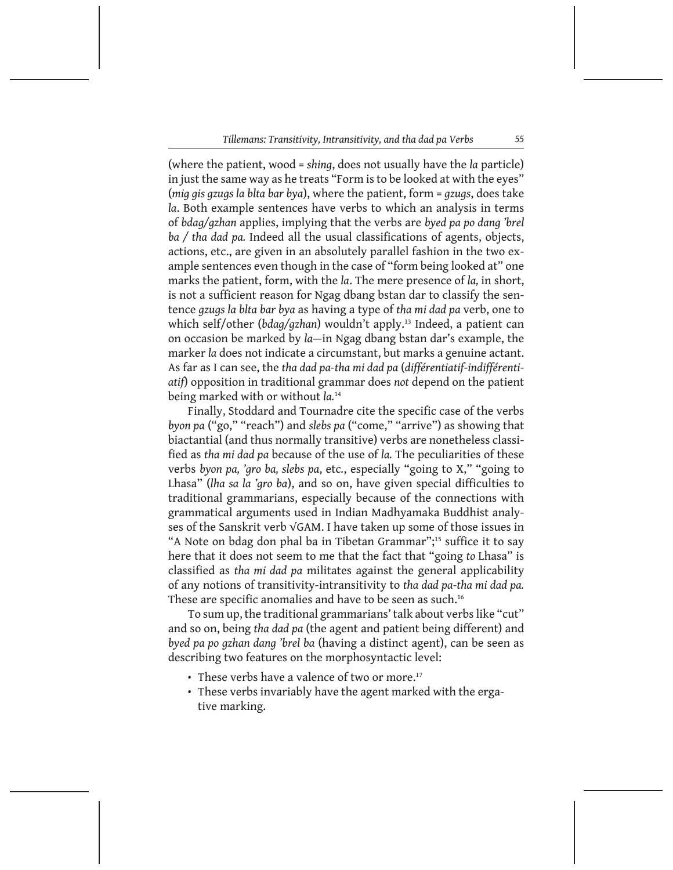(where the patient, wood = *shing*, does not usually have the *la* particle) in just the same way as he treats "Form is to be looked at with the eyes" (*mig gis gzugs la blta bar bya*), where the patient, form = *gzugs*, does take *la*. Both example sentences have verbs to which an analysis in terms of *bdag/gzhan* applies, implying that the verbs are *byed pa po dang 'brel ba / tha dad pa.* Indeed all the usual classifications of agents, objects, actions, etc., are given in an absolutely parallel fashion in the two example sentences even though in the case of "form being looked at" one marks the patient, form, with the *la*. The mere presence of *la,* in short, is not a sufficient reason for Ngag dbang bstan dar to classify the sentence *gzugs la blta bar bya* as having a type of *tha mi dad pa* verb, one to which self/other (*bdag/gzhan*) wouldn't apply.<sup>13</sup> Indeed, a patient can on occasion be marked by *la*—in Ngag dbang bstan dar's example, the marker *la* does not indicate a circumstant, but marks a genuine actant. As far as I can see, the *tha dad pa-tha mi dad pa* (*différentiatif-indifférentiatif*) opposition in traditional grammar does *not* depend on the patient being marked with or without *la.*<sup>14</sup>

Finally, Stoddard and Tournadre cite the specific case of the verbs *byon pa* ("go," "reach") and *slebs pa* ("come," "arrive") as showing that biactantial (and thus normally transitive) verbs are nonetheless classified as *tha mi dad pa* because of the use of *la.* The peculiarities of these verbs *byon pa, 'gro ba, slebs pa*, etc*.*, especially "going to X," "going to Lhasa" (*lha sa la 'gro ba*), and so on, have given special difficulties to traditional grammarians, especially because of the connections with grammatical arguments used in Indian Madhyamaka Buddhist analyses of the Sanskrit verb √GAM. I have taken up some of those issues in "A Note on bdag don phal ba in Tibetan Grammar";15 suffice it to say here that it does not seem to me that the fact that "going *to* Lhasa" is classified as *tha mi dad pa* militates against the general applicability of any notions of transitivity-intransitivity to *tha dad pa-tha mi dad pa.*  These are specific anomalies and have to be seen as such.<sup>16</sup>

To sum up, the traditional grammarians' talk about verbs like "cut" and so on, being *tha dad pa* (the agent and patient being different) and *byed pa po gzhan dang 'brel ba* (having a distinct agent), can be seen as describing two features on the morphosyntactic level:

- These verbs have a valence of two or more.<sup>17</sup>
- These verbs invariably have the agent marked with the ergative marking.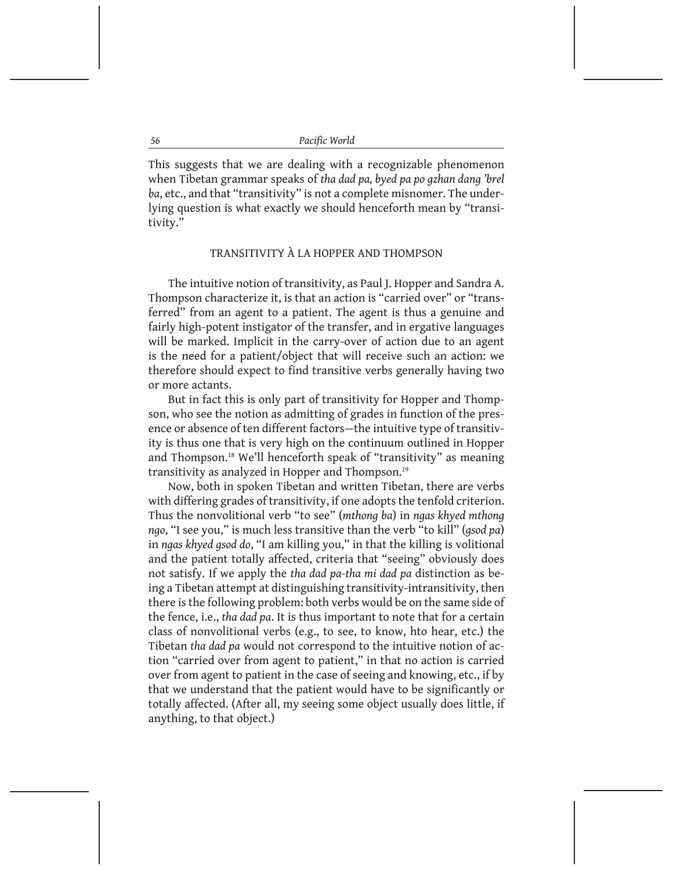This suggests that we are dealing with a recognizable phenomenon when Tibetan grammar speaks of *tha dad pa, byed pa po gzhan dang 'brel ba*, etc., and that "transitivity" is not a complete misnomer. The underlying question is what exactly we should henceforth mean by "transitivity."

## TRANSITIVITY À LA HOPPER AND THOMPSON

The intuitive notion of transitivity, as Paul J. Hopper and Sandra A. Thompson characterize it, is that an action is "carried over" or "transferred" from an agent to a patient. The agent is thus a genuine and fairly high-potent instigator of the transfer, and in ergative languages will be marked. Implicit in the carry-over of action due to an agent is the need for a patient/object that will receive such an action: we therefore should expect to find transitive verbs generally having two or more actants.

But in fact this is only part of transitivity for Hopper and Thompson, who see the notion as admitting of grades in function of the presence or absence of ten different factors—the intuitive type of transitivity is thus one that is very high on the continuum outlined in Hopper and Thompson.<sup>18</sup> We'll henceforth speak of "transitivity" as meaning transitivity as analyzed in Hopper and Thompson.<sup>19</sup>

Now, both in spoken Tibetan and written Tibetan, there are verbs with differing grades of transitivity, if one adopts the tenfold criterion. Thus the nonvolitional verb "to see" (*mthong ba*) in *ngas khyed mthong ngo*, "I see you," is much less transitive than the verb "to kill" (*gsod pa*) in *ngas khyed gsod do*, "I am killing you," in that the killing is volitional and the patient totally affected, criteria that "seeing" obviously does not satisfy. If we apply the *tha dad pa-tha mi dad pa* distinction as being a Tibetan attempt at distinguishing transitivity-intransitivity, then there is the following problem: both verbs would be on the same side of the fence, i.e., *tha dad pa*. It is thus important to note that for a certain class of nonvolitional verbs (e.g., to see, to know, hto hear, etc.) the Tibetan *tha dad pa* would not correspond to the intuitive notion of action "carried over from agent to patient," in that no action is carried over from agent to patient in the case of seeing and knowing, etc., if by that we understand that the patient would have to be significantly or totally affected. (After all, my seeing some object usually does little, if anything, to that object.)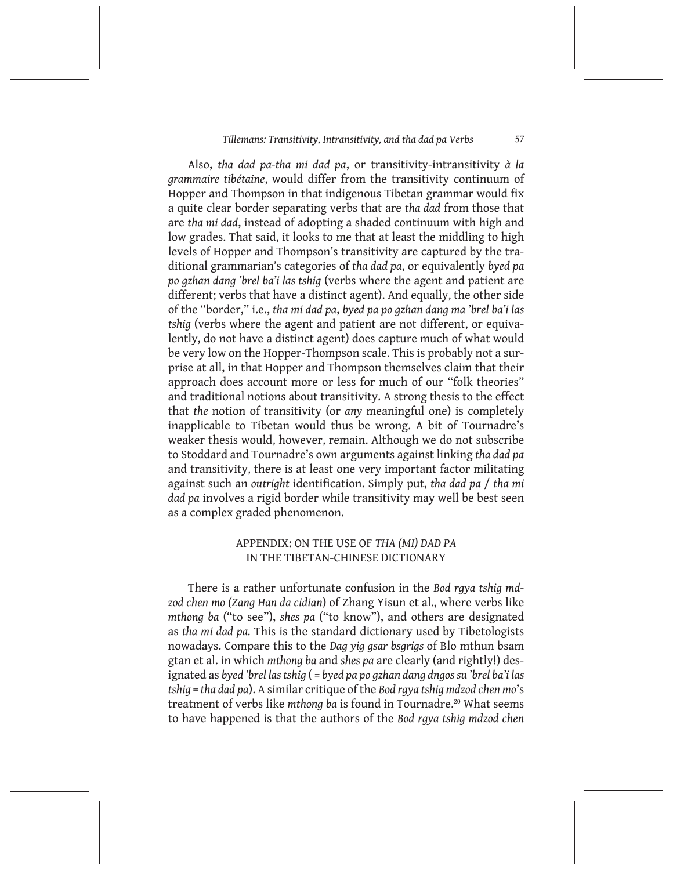Also, *tha dad pa-tha mi dad pa*, or transitivity-intransitivity *à la grammaire tibétaine*, would differ from the transitivity continuum of Hopper and Thompson in that indigenous Tibetan grammar would fix a quite clear border separating verbs that are *tha dad* from those that are *tha mi dad*, instead of adopting a shaded continuum with high and low grades. That said, it looks to me that at least the middling to high levels of Hopper and Thompson's transitivity are captured by the traditional grammarian's categories of *tha dad pa*, or equivalently *byed pa po gzhan dang 'brel ba'i las tshig* (verbs where the agent and patient are different; verbs that have a distinct agent). And equally, the other side of the "border," i.e., *tha mi dad pa*, *byed pa po gzhan dang ma 'brel ba'i las tshig* (verbs where the agent and patient are not different, or equivalently, do not have a distinct agent) does capture much of what would be very low on the Hopper-Thompson scale. This is probably not a surprise at all, in that Hopper and Thompson themselves claim that their approach does account more or less for much of our "folk theories" and traditional notions about transitivity. A strong thesis to the effect that *the* notion of transitivity (or *any* meaningful one) is completely inapplicable to Tibetan would thus be wrong. A bit of Tournadre's weaker thesis would, however, remain. Although we do not subscribe to Stoddard and Tournadre's own arguments against linking *tha dad pa*  and transitivity, there is at least one very important factor militating against such an *outright* identification. Simply put, *tha dad pa* / *tha mi dad pa* involves a rigid border while transitivity may well be best seen as a complex graded phenomenon.

## APPENDIX: ON THE USE OF *THA (MI) DAD PA* IN THE TIBETAN-CHINESE DICTIONARY

There is a rather unfortunate confusion in the *Bod rgya tshig mdzod chen mo (Zang Han da cidian*) of Zhang Yisun et al., where verbs like *mthong ba* ("to see"), *shes pa* ("to know"), and others are designated as *tha mi dad pa.* This is the standard dictionary used by Tibetologists nowadays. Compare this to the *Dag yig gsar bsgrigs* of Blo mthun bsam gtan et al. in which *mthong ba* and *shes pa* are clearly (and rightly!) designated as *byed 'brel las tshig* ( = *byed pa po gzhan dang dngos su 'brel ba'i las tshig* = *tha dad pa*). A similar critique of the *Bod rgya tshig mdzod chen mo*'s treatment of verbs like *mthong ba* is found in Tournadre.20 What seems to have happened is that the authors of the *Bod rgya tshig mdzod chen*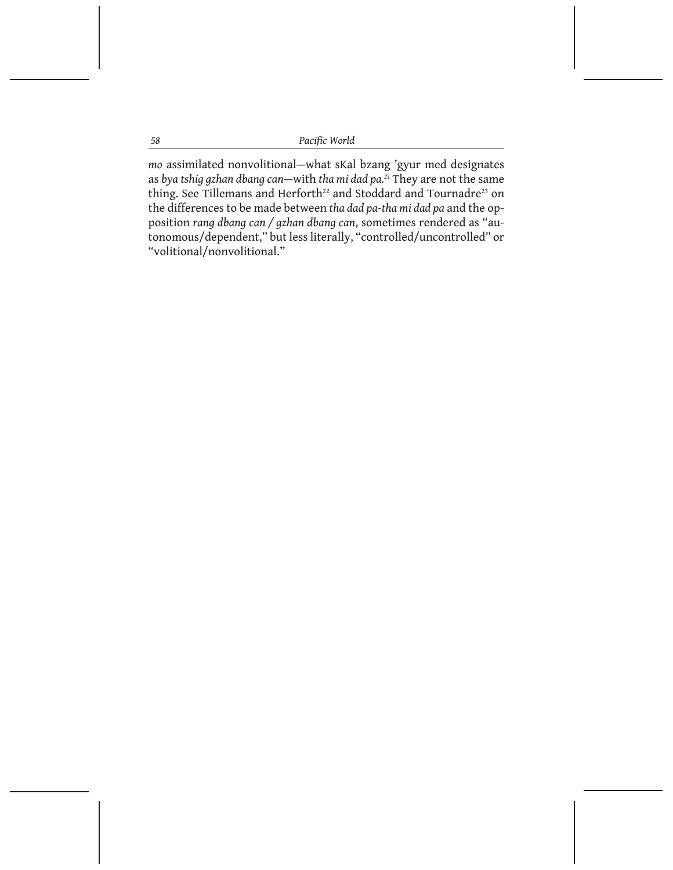| Pacific World |
|---------------|
|               |

*mo* assimilated nonvolitional—what sKal bzang 'gyur med designates as *bya tshig gzhan dbang can*—with *tha mi dad pa.<sup>21</sup>* They are not the same thing. See Tillemans and Herforth<sup>22</sup> and Stoddard and Tournadre<sup>23</sup> on the differences to be made between *tha dad pa-tha mi dad pa* and the opposition *rang dbang can / gzhan dbang can*, sometimes rendered as "autonomous/dependent," but less literally, "controlled/uncontrolled" or "volitional/nonvolitional."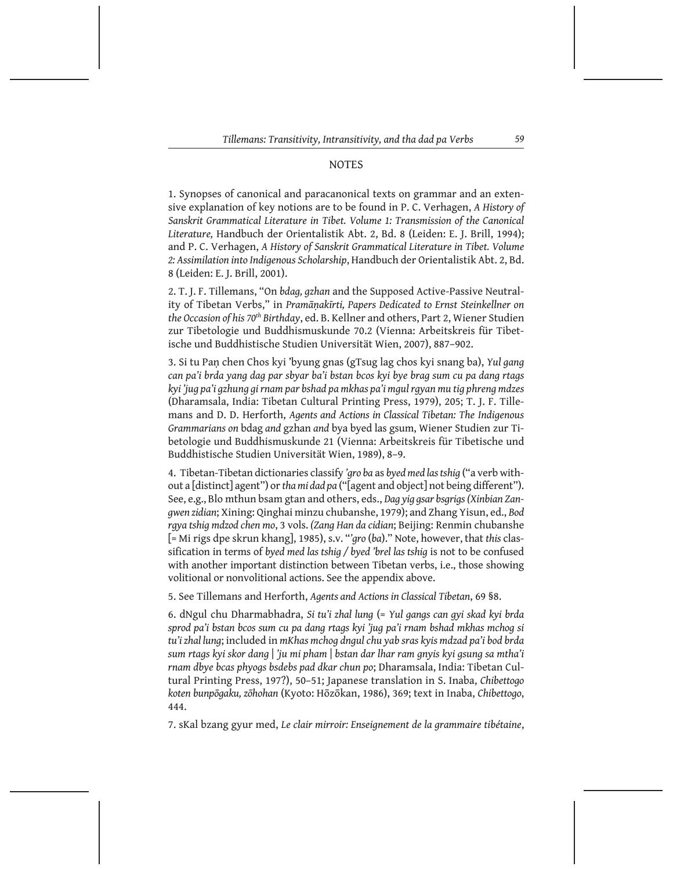#### **NOTES**

1. Synopses of canonical and paracanonical texts on grammar and an extensive explanation of key notions are to be found in P. C. Verhagen, *A History of Sanskrit Grammatical Literature in Tibet. Volume 1: Transmission of the Canonical Literature,* Handbuch der Orientalistik Abt. 2, Bd. 8 (Leiden: E. J. Brill, 1994); and P. C. Verhagen, *A History of Sanskrit Grammatical Literature in Tibet. Volume 2: Assimilation into Indigenous Scholarship*, Handbuch der Orientalistik Abt. 2, Bd. 8 (Leiden: E. J. Brill, 2001).

2. T. J. F. Tillemans, "On *bdag, gzhan* and the Supposed Active-Passive Neutrality of Tibetan Verbs," in *Pramāṇakīrti, Papers Dedicated to Ernst Steinkellner on the Occasion of his 70th Birthday*, ed. B. Kellner and others, Part 2, Wiener Studien zur Tibetologie und Buddhismuskunde 70.2 (Vienna: Arbeitskreis für Tibetische und Buddhistische Studien Universität Wien, 2007), 887–902.

3. Si tu Paṇ chen Chos kyi 'byung gnas (gTsug lag chos kyi snang ba), *Yul gang can pa'i brda yang dag par sbyar ba'i bstan bcos kyi bye brag sum cu pa dang rtags kyi 'jug pa'i gzhung gi rnam par bshad pa mkhas pa'i mgul rgyan mu tig phreng mdzes* (Dharamsala, India: Tibetan Cultural Printing Press, 1979), 205; T. J. F. Tillemans and D. D. Herforth, *Agents and Actions in Classical Tibetan: The Indigenous Grammarians on* bdag *and* gzhan *and* bya byed las gsum, Wiener Studien zur Tibetologie und Buddhismuskunde 21 (Vienna: Arbeitskreis für Tibetische und Buddhistische Studien Universität Wien, 1989), 8–9.

4. Tibetan-Tibetan dictionaries classify *'gro ba* as *byed med las tshig* ("a verb without a [distinct] agent") or *tha mi dad pa* ("[agent and object] not being different"). See, e.g., Blo mthun bsam gtan and others, eds., *Dag yig gsar bsgrigs(Xinbian Zangwen zidian*; Xining: Qinghai minzu chubanshe, 1979); and Zhang Yisun, ed., *Bod rgya tshig mdzod chen mo*, 3 vols. *(Zang Han da cidian*; Beijing: Renmin chubanshe [= Mi rigs dpe skrun khang], 1985), s.v. "*'gro* (*ba*)." Note, however, that *this* classification in terms of *byed med las tshig / byed 'brel las tshig* is not to be confused with another important distinction between Tibetan verbs, i.e., those showing volitional or nonvolitional actions. See the appendix above.

5. See Tillemans and Herforth, *Agents and Actions in Classical Tibetan*, 69 §8.

6. dNgul chu Dharmabhadra, *Si tu'i zhal lung* (= *Yul gangs can gyi skad kyi brda sprod pa'i bstan bcos sum cu pa dang rtags kyi 'jug pa'i rnam bshad mkhas mchog si tu'i zhal lung*; included in *mKhas mchog dngul chu yab sras kyis mdzad pa'i bod brda sum rtags kyi skor dang* | *'ju mi pham* | *bstan dar lhar ram gnyis kyi gsung sa mtha'i rnam dbye bcas phyogs bsdebs pad dkar chun po*; Dharamsala, India: Tibetan Cultural Printing Press, 197?), 50–51; Japanese translation in S. Inaba, *Chibettogo koten bunpōgaku, zōhohan* (Kyoto: Hōzōkan, 1986), 369; text in Inaba, *Chibettogo*, 444.

7. sKal bzang gyur med, *Le clair mirroir: Enseignement de la grammaire tibétaine*,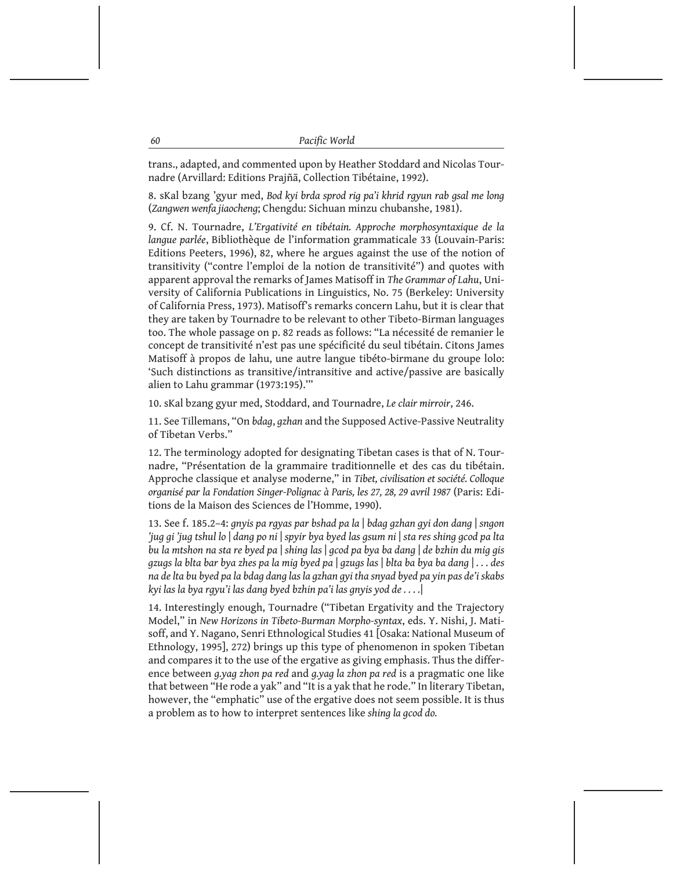trans., adapted, and commented upon by Heather Stoddard and Nicolas Tournadre (Arvillard: Editions Prajñā, Collection Tibétaine, 1992).

8. sKal bzang 'gyur med, *Bod kyi brda sprod rig pa'i khrid rgyun rab gsal me long*  (*Zangwen wenfa jiaocheng*; Chengdu: Sichuan minzu chubanshe, 1981).

9. Cf. N. Tournadre, *L'Ergativité en tibétain. Approche morphosyntaxique de la langue parlée*, Bibliothèque de l'information grammaticale 33 (Louvain-Paris: Editions Peeters, 1996), 82, where he argues against the use of the notion of transitivity ("contre l'emploi de la notion de transitivité") and quotes with apparent approval the remarks of James Matisoff in *The Grammar of Lahu*, University of California Publications in Linguistics, No. 75 (Berkeley: University of California Press, 1973). Matisoff's remarks concern Lahu, but it is clear that they are taken by Tournadre to be relevant to other Tibeto-Birman languages too. The whole passage on p. 82 reads as follows: "La nécessité de remanier le concept de transitivité n'est pas une spécificité du seul tibétain. Citons James Matisoff à propos de lahu, une autre langue tibéto-birmane du groupe lolo: 'Such distinctions as transitive/intransitive and active/passive are basically alien to Lahu grammar (1973:195).'"

10. sKal bzang gyur med, Stoddard, and Tournadre, *Le clair mirroir*, 246.

11. See Tillemans, "On *bdag*, *gzhan* and the Supposed Active-Passive Neutrality of Tibetan Verbs."

12. The terminology adopted for designating Tibetan cases is that of N. Tournadre, "Présentation de la grammaire traditionnelle et des cas du tibétain. Approche classique et analyse moderne," in *Tibet, civilisation et société. Colloque organisé par la Fondation Singer-Polignac à Paris, les 27, 28, 29 avril 1987* (Paris: Editions de la Maison des Sciences de l'Homme, 1990).

13. See f. 185.2–4: *gnyis pa rgyas par bshad pa la* | *bdag gzhan gyi don dang* | *sngon 'jug gi 'jug tshul lo* | *dang po ni* | *spyir bya byed las gsum ni* | *sta res shing gcod pa lta bu la mtshon na sta re byed pa* | *shing las* | *gcod pa bya ba dang* | *de bzhin du mig gis gzugs la blta bar bya zhes pa la mig byed pa* | *gzugs las* | *blta ba bya ba dang* | *. . . des na de lta bu byed pa la bdag dang las la gzhan gyi tha snyad byed pa yin pas de'i skabs kyi las la bya rgyu'i las dang byed bzhin pa'i las gnyis yod de . . . .*|

14. Interestingly enough, Tournadre ("Tibetan Ergativity and the Trajectory Model," in *New Horizons in Tibeto-Burman Morpho-syntax*, eds. Y. Nishi, J. Matisoff, and Y. Nagano, Senri Ethnological Studies 41 [Osaka: National Museum of Ethnology, 1995], 272) brings up this type of phenomenon in spoken Tibetan and compares it to the use of the ergative as giving emphasis. Thus the difference between *g.yag zhon pa red* and *g.yag la zhon pa red* is a pragmatic one like that between "He rode a yak" and "It is a yak that he rode." In literary Tibetan, however, the "emphatic" use of the ergative does not seem possible. It is thus a problem as to how to interpret sentences like *shing la gcod do.*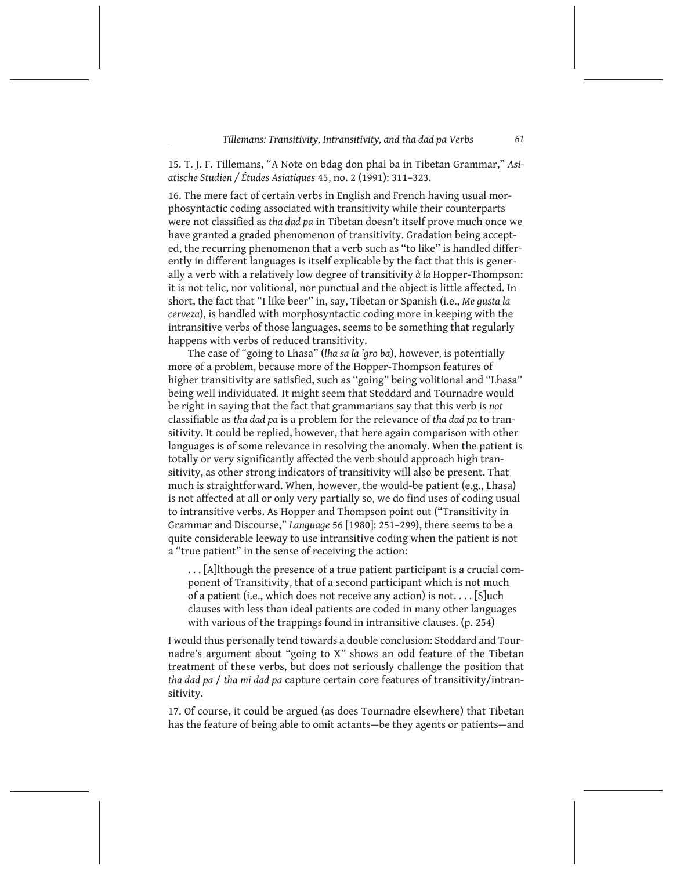15. T. J. F. Tillemans, "A Note on bdag don phal ba in Tibetan Grammar," *Asiatische Studien / Études Asiatiques* 45, no. 2 (1991): 311–323.

16. The mere fact of certain verbs in English and French having usual morphosyntactic coding associated with transitivity while their counterparts were not classified as *tha dad pa* in Tibetan doesn't itself prove much once we have granted a graded phenomenon of transitivity. Gradation being accepted, the recurring phenomenon that a verb such as "to like" is handled differently in different languages is itself explicable by the fact that this is generally a verb with a relatively low degree of transitivity *à la* Hopper-Thompson: it is not telic, nor volitional, nor punctual and the object is little affected. In short, the fact that "I like beer" in, say, Tibetan or Spanish (i.e., *Me gusta la cerveza*), is handled with morphosyntactic coding more in keeping with the intransitive verbs of those languages, seems to be something that regularly happens with verbs of reduced transitivity.

The case of "going to Lhasa" (*lha sa la 'gro ba*), however, is potentially more of a problem, because more of the Hopper-Thompson features of higher transitivity are satisfied, such as "going" being volitional and "Lhasa" being well individuated. It might seem that Stoddard and Tournadre would be right in saying that the fact that grammarians say that this verb is *not*  classifiable as *tha dad pa* is a problem for the relevance of *tha dad pa* to transitivity. It could be replied, however, that here again comparison with other languages is of some relevance in resolving the anomaly. When the patient is totally or very significantly affected the verb should approach high transitivity, as other strong indicators of transitivity will also be present. That much is straightforward. When, however, the would-be patient (e.g., Lhasa) is not affected at all or only very partially so, we do find uses of coding usual to intransitive verbs. As Hopper and Thompson point out ("Transitivity in Grammar and Discourse," *Language* 56 [1980]: 251–299), there seems to be a quite considerable leeway to use intransitive coding when the patient is not a "true patient" in the sense of receiving the action:

. . . [A]lthough the presence of a true patient participant is a crucial component of Transitivity, that of a second participant which is not much of a patient (i.e., which does not receive any action) is not. . . . [S]uch clauses with less than ideal patients are coded in many other languages with various of the trappings found in intransitive clauses. (p. 254)

I would thus personally tend towards a double conclusion: Stoddard and Tournadre's argument about "going to X" shows an odd feature of the Tibetan treatment of these verbs, but does not seriously challenge the position that *tha dad pa* / *tha mi dad pa* capture certain core features of transitivity/intransitivity.

17. Of course, it could be argued (as does Tournadre elsewhere) that Tibetan has the feature of being able to omit actants—be they agents or patients—and